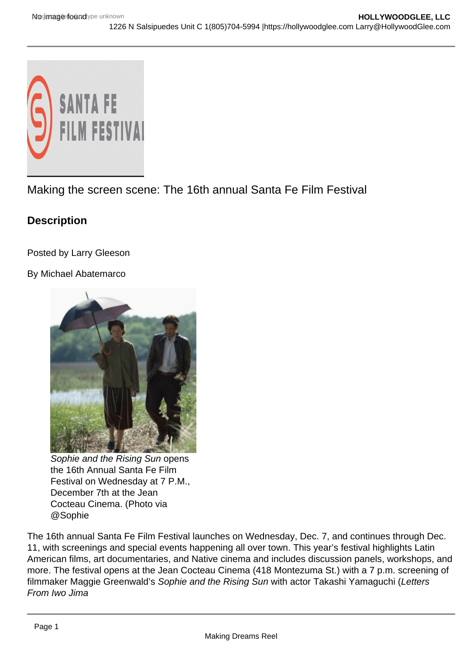

Making the screen scene: The 16th annual Santa Fe Film Festival

## **Description**

Posted by Larry Gleeson

By Michael Abatemarco



Sophie and the Rising Sun opens the 16th Annual Santa Fe Film Festival on Wednesday at 7 P.M., December 7th at the Jean Cocteau Cinema. (Photo via @Sophie

The 16th annual Santa Fe Film Festival launches on Wednesday, Dec. 7, and continues through Dec. 11, with screenings and special events happening all over town. This year's festival highlights Latin American films, art documentaries, and Native cinema and includes discussion panels, workshops, and more. The festival opens at the Jean Cocteau Cinema (418 Montezuma St.) with a 7 p.m. screening of filmmaker Maggie Greenwald's Sophie and the Rising Sun with actor Takashi Yamaguchi (Letters From Iwo Jima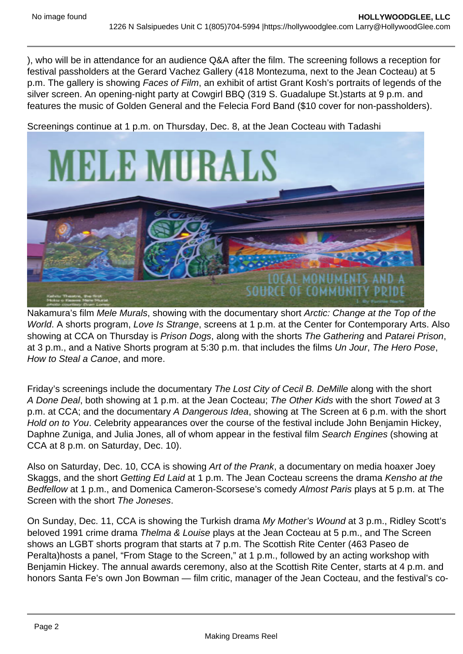), who will be in attendance for an audience Q&A after the film. The screening follows a reception for festival passholders at the Gerard Vachez Gallery (418 Montezuma, next to the Jean Cocteau) at 5 p.m. The gallery is showing Faces of Film, an exhibit of artist Grant Kosh's portraits of legends of the silver screen. An opening-night party at Cowgirl BBQ (319 S. Guadalupe St.)starts at 9 p.m. and features the music of Golden General and the Felecia Ford Band (\$10 cover for non-passholders).

Screenings continue at 1 p.m. on Thursday, Dec. 8, at the Jean Cocteau with Tadashi



Nakamura's film Mele Murals, showing with the documentary short Arctic: Change at the Top of the World. A shorts program, Love Is Strange, screens at 1 p.m. at the Center for Contemporary Arts. Also showing at CCA on Thursday is Prison Dogs, along with the shorts The Gathering and Patarei Prison, at 3 p.m., and a Native Shorts program at 5:30 p.m. that includes the films Un Jour, The Hero Pose, How to Steal a Canoe, and more.

Friday's screenings include the documentary The Lost City of Cecil B. DeMille along with the short A Done Deal, both showing at 1 p.m. at the Jean Cocteau; The Other Kids with the short Towed at 3 p.m. at CCA; and the documentary A Dangerous Idea, showing at The Screen at 6 p.m. with the short Hold on to You. Celebrity appearances over the course of the festival include John Benjamin Hickey, Daphne Zuniga, and Julia Jones, all of whom appear in the festival film Search Engines (showing at CCA at 8 p.m. on Saturday, Dec. 10).

Also on Saturday, Dec. 10, CCA is showing Art of the Prank, a documentary on media hoaxer Joey Skaggs, and the short Getting Ed Laid at 1 p.m. The Jean Cocteau screens the drama Kensho at the Bedfellow at 1 p.m., and Domenica Cameron-Scorsese's comedy Almost Paris plays at 5 p.m. at The Screen with the short The Joneses.

On Sunday, Dec. 11, CCA is showing the Turkish drama My Mother's Wound at 3 p.m., Ridley Scott's beloved 1991 crime drama Thelma & Louise plays at the Jean Cocteau at 5 p.m., and The Screen shows an LGBT shorts program that starts at 7 p.m. The Scottish Rite Center (463 Paseo de Peralta)hosts a panel, "From Stage to the Screen," at 1 p.m., followed by an acting workshop with Benjamin Hickey. The annual awards ceremony, also at the Scottish Rite Center, starts at 4 p.m. and honors Santa Fe's own Jon Bowman — film critic, manager of the Jean Cocteau, and the festival's co